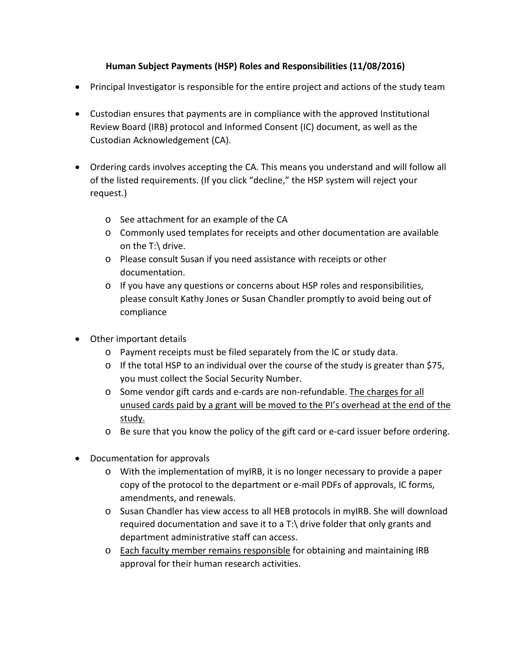## **Human Subject Payments (HSP) Roles and Responsibilities (11/08/2016)**

- Principal Investigator is responsible for the entire project and actions of the study team
- Custodian ensures that payments are in compliance with the approved Institutional Review Board (IRB) protocol and Informed Consent (IC) document, as well as the Custodian Acknowledgement (CA).
- Ordering cards involves accepting the CA. This means you understand and will follow all of the listed requirements. (If you click "decline," the HSP system will reject your request.)
	- o See attachment for an example of the CA
	- o Commonly used templates for receipts and other documentation are available on the T:\ drive.
	- o Please consult Susan if you need assistance with receipts or other documentation.
	- $\circ$  If you have any questions or concerns about HSP roles and responsibilities, please consult Kathy Jones or Susan Chandler promptly to avoid being out of compliance
- Other important details
	- o Payment receipts must be filed separately from the IC or study data.
	- $\circ$  If the total HSP to an individual over the course of the study is greater than \$75, you must collect the Social Security Number.
	- o Some vendor gift cards and e-cards are non-refundable. The charges for all unused cards paid by a grant will be moved to the PI's overhead at the end of the study.
	- o Be sure that you know the policy of the gift card or e-card issuer before ordering.
- Documentation for approvals
	- o With the implementation of myIRB, it is no longer necessary to provide a paper copy of the protocol to the department or e-mail PDFs of approvals, IC forms, amendments, and renewals.
	- o Susan Chandler has view access to all HEB protocols in myIRB. She will download required documentation and save it to a T:\ drive folder that only grants and department administrative staff can access.
	- o Each faculty member remains responsible for obtaining and maintaining IRB approval for their human research activities.